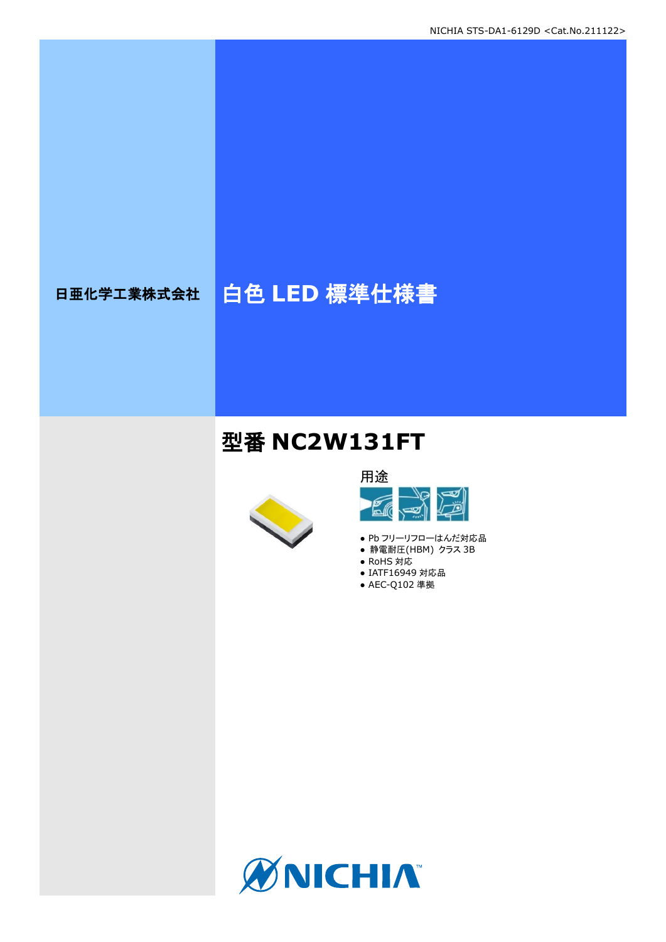# 日亜化学工業株式会社 | 白色 LED 標準仕様書

## 型番 **NC2W131FT**





- Pb フリーリフローはんだ対応品
- 静電耐圧(HBM) クラス 3B
- RoHS 対応
- IATF16949 対応品 ● AEC-Q102 準拠

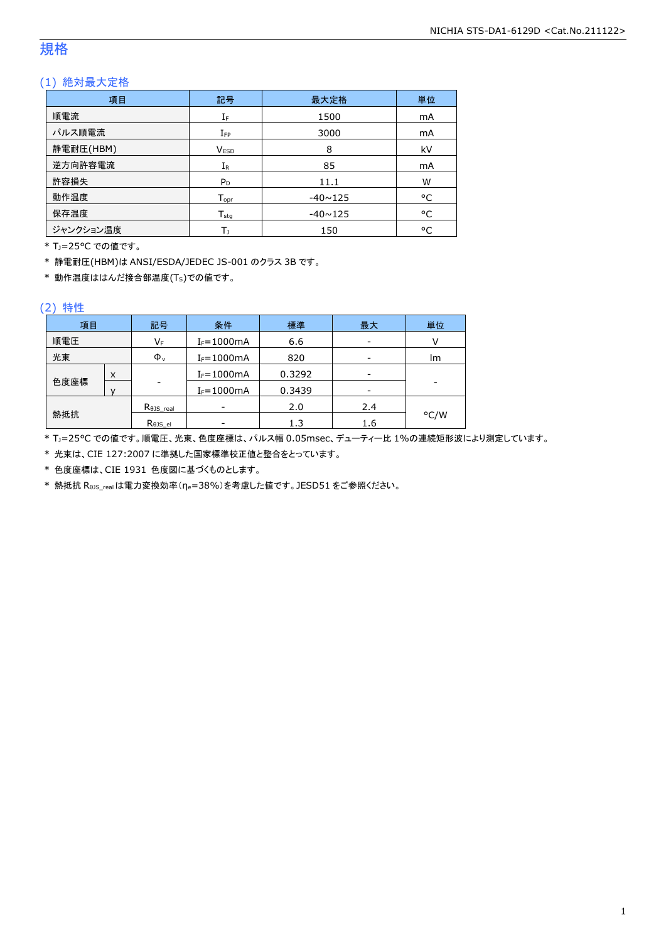### 規格

### (1) 絶対最大定格

| 項目        | 記号                 | 最大定格           | 単位 |
|-----------|--------------------|----------------|----|
| 順電流       | IF                 | 1500           | mA |
| パルス順電流    | $I_{FP}$           | 3000           | mA |
| 静電耐圧(HBM) | <b>VESD</b>        | 8              | kV |
| 逆方向許容電流   | $I_{R}$            | 85             | mA |
| 許容損失      | $P_D$              | 11.1           | W  |
| 動作温度      | $T_{\mathsf{opr}}$ | $-40 \sim 125$ | °C |
| 保存温度      | $T_{sta}$          | $-40 \sim 125$ | °C |
| ジャンクション温度 | Т١                 | 150            | °C |

\* TJ=25°C での値です。

\* 静電耐圧(HBM)は ANSI/ESDA/JEDEC JS-001 のクラス 3B です。

\* 動作温度ははんだ接合部温度(TS)での値です。

#### (2) 特性

| 項目   |     | 記号                   | 条件             | 最大<br>標準 |     | 単位   |
|------|-----|----------------------|----------------|----------|-----|------|
| 順電圧  |     | VF                   | $I_F = 1000mA$ | 6.6      |     |      |
| 光束   |     | $\Phi_{\rm v}$       | $I_F = 1000mA$ | 820      |     | lm   |
|      | X   |                      | $I_F = 1000mA$ | 0.3292   |     |      |
| 色度座標 |     | ۰                    | $I_F = 1000mA$ | 0.3439   |     | -    |
|      |     | $R_{\theta}$ JS_real |                | 2.0      | 2.4 |      |
|      | 熱抵抗 |                      |                | 1.3      | 1.6 | °C/W |

\* TJ=25°C での値です。順電圧、光束、色度座標は、パルス幅 0.05msec、デューティー比 1%の連続矩形波により測定しています。

\* 光束は、CIE 127:2007 に準拠した国家標準校正値と整合をとっています。

\* 色度座標は、CIE 1931 色度図に基づくものとします。

\* 熱抵抗 RθJS\_realは電力変換効率(ηe=38%)を考慮した値です。JESD51 をご参照ください。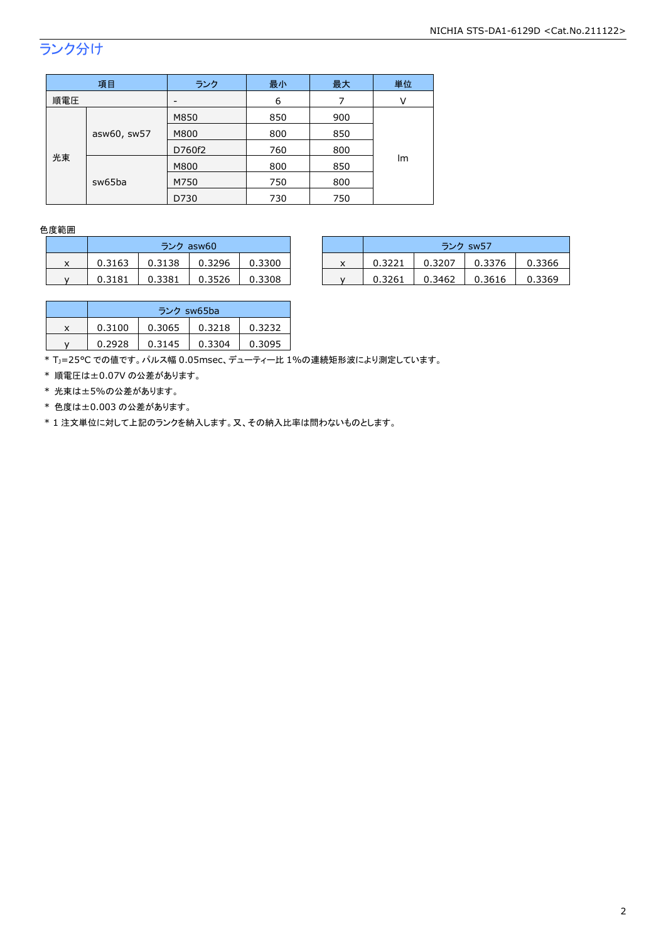## ランク分け

|                             | 項目   | ランク             | 最小  | 最大  | 単位 |
|-----------------------------|------|-----------------|-----|-----|----|
| 順電圧                         |      | $\qquad \qquad$ | 6   | 7   | ν  |
|                             |      | M850            | 850 | 900 |    |
| asw60, sw57<br>光束<br>sw65ba | M800 | 800             | 850 |     |    |
|                             |      | D760f2          | 760 | 800 |    |
|                             |      | M800            | 800 | 850 | Im |
|                             |      | M750            | 750 | 800 |    |
|                             |      | D730            | 730 | 750 |    |

### 色度範囲

|   | ランク asw60 |        |        |        |  |  |
|---|-----------|--------|--------|--------|--|--|
| x | 0.3163    | 0.3138 | 0.3296 | 0.3300 |  |  |
|   | 0.3181    | 0.3381 | 0.3526 | 0.3308 |  |  |

|   | ランク asw60 |        |        |        |  |        | ランク sw57 |        |        |
|---|-----------|--------|--------|--------|--|--------|----------|--------|--------|
| x | 0.3163    | 0.3138 | 0.3296 | 0.3300 |  | 0.3221 | 0.3207   | 0.3376 | 0.3366 |
|   | 0.3181    | 0.3381 | 0.3526 | 0.3308 |  | 0.3261 | 0.3462   | 0.3616 | 0.3369 |

|   | ランク sw65ba |        |        |        |  |  |
|---|------------|--------|--------|--------|--|--|
| x | 0.3100     | 0.3065 | 0.3218 | 0.3232 |  |  |
|   | 0.2928     | 0.3145 | 0.3304 | 0.3095 |  |  |

\* TJ=25°C での値です。パルス幅 0.05msec、デューティー比 1%の連続矩形波により測定しています。

\* 順電圧は±0.07V の公差があります。

\* 光束は±5%の公差があります。

\* 色度は±0.003 の公差があります。

\* 1 注文単位に対して上記のランクを納入します。又、その納入比率は問わないものとします。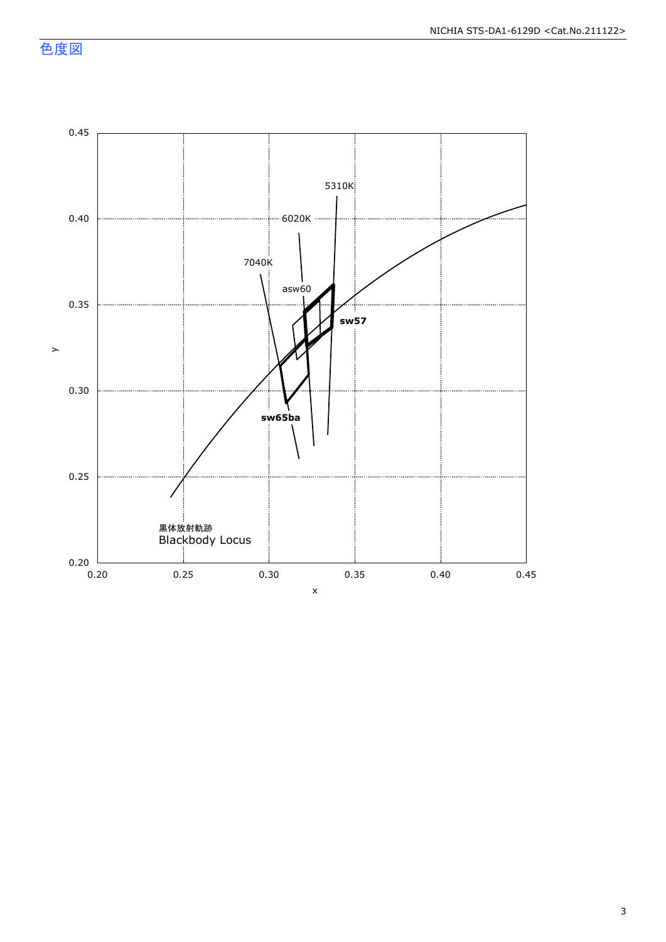色度図

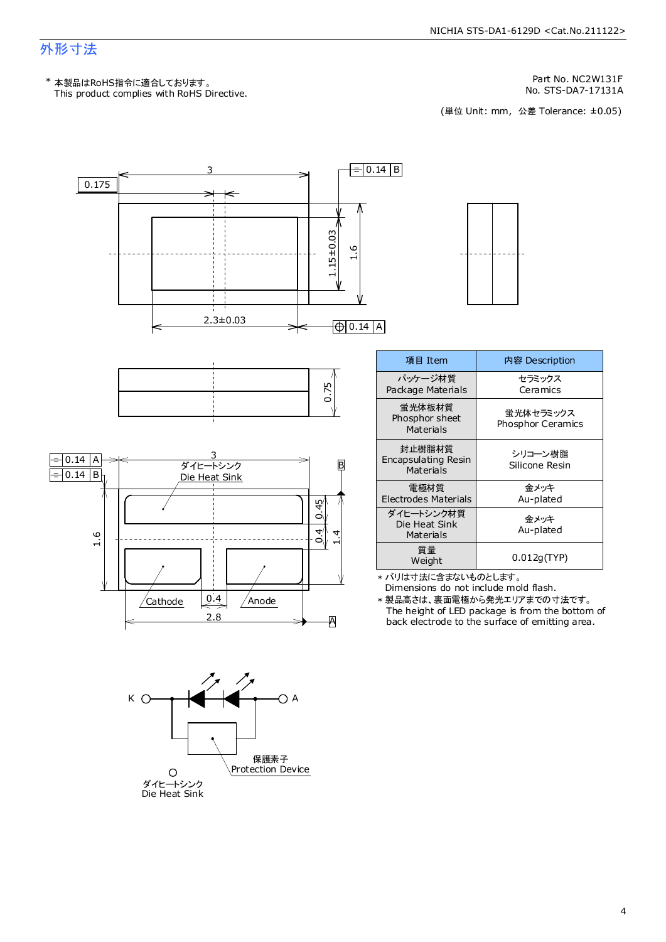### 外形寸法

Part No. NC2W131F

No. STS-DA7-17131A<br>(単位 Unit: mm,公差 Tolerance: ±0.05)



A

K A

ダイヒートシンク Die Heat Sink

 $\circ$ 

保護素子 Protection Device

The height of LED package is from the bottom of back electrode to the surface of emitting area. \* 製品高さは、裏面電極から発光エリアまでの寸法です。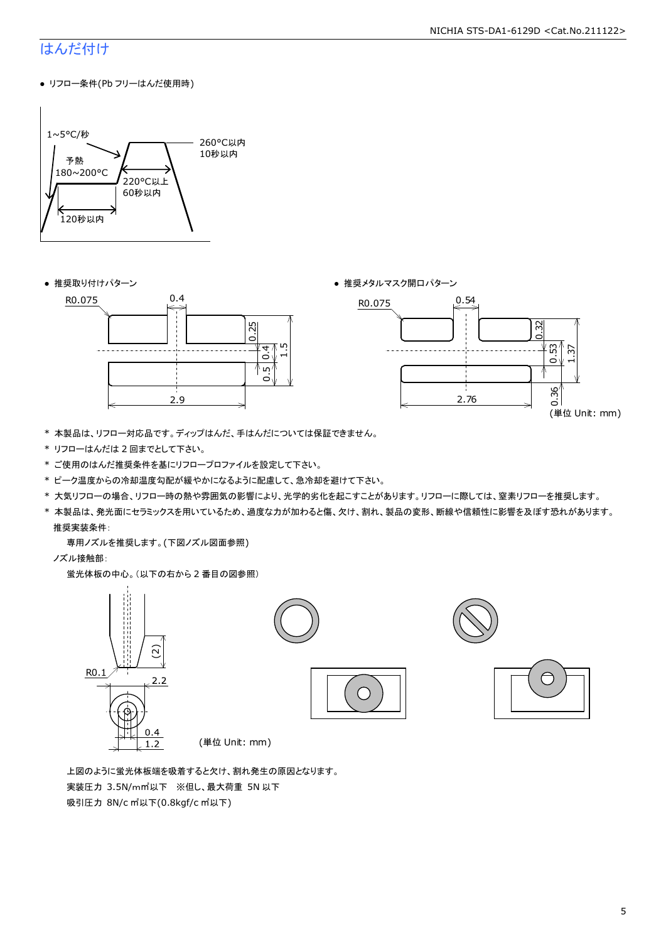#### NICHIA STS-DA1-6129D <Cat.No.211122>

### はんだ付け

● リフロー条件(Pb フリーはんだ使用時)







- \* 本製品は、リフロー対応品です。ディップはんだ、手はんだについては保証できません。
- \* リフローはんだは 2 回までとして下さい。
- \* ご使用のはんだ推奨条件を基にリフロープロファイルを設定して下さい。
- \* ピーク温度からの冷却温度勾配が緩やかになるように配慮して、急冷却を避けて下さい。
- \* 大気リフローの場合、リフロー時の熱や雰囲気の影響により、光学的劣化を起こすことがあります。リフローに際しては、窒素リフローを推奨します。
- \* 本製品は、発光面にセラミックスを用いているため、過度な力が加わると傷、欠け、割れ、製品の変形、断線や信頼性に影響を及ぼす恐れがあります。 推奨実装条件:

専用ノズルを推奨します。(下図ノズル図面参照)

ノズル接触部:

蛍光体板の中心。(以下の右から 2 番目の図参照)



 上図のように蛍光体板端を吸着すると欠け、割れ発生の原因となります。 実装圧力 3.5N/m㎡以下 ※但し、最大荷重 5N 以下 吸引圧力 8N/c ㎡以下(0.8kgf/c ㎡以下)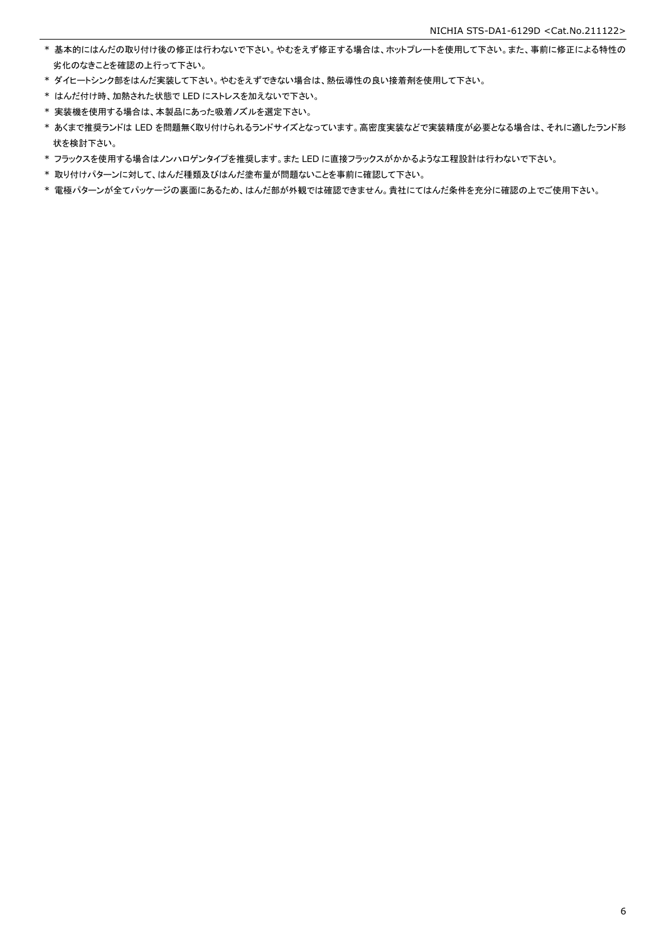- \* 基本的にはんだの取り付け後の修正は行わないで下さい。やむをえず修正する場合は、ホットプレートを使用して下さい。また、事前に修正による特性の 劣化のなきことを確認の上行って下さい。
- \* ダイヒートシンク部をはんだ実装して下さい。やむをえずできない場合は、熱伝導性の良い接着剤を使用して下さい。
- \* はんだ付け時、加熱された状態で LED にストレスを加えないで下さい。
- \* 実装機を使用する場合は、本製品にあった吸着ノズルを選定下さい。
- \* あくまで推奨ランドは LED を問題無く取り付けられるランドサイズとなっています。高密度実装などで実装精度が必要となる場合は、それに適したランド形 状を検討下さい。
- \* フラックスを使用する場合はノンハロゲンタイプを推奨します。また LED に直接フラックスがかかるような工程設計は行わないで下さい。
- \* 取り付けパターンに対して、はんだ種類及びはんだ塗布量が問題ないことを事前に確認して下さい。
- \* 電極パターンが全てパッケージの裏面にあるため、はんだ部が外観では確認できません。貴社にてはんだ条件を充分に確認の上でご使用下さい。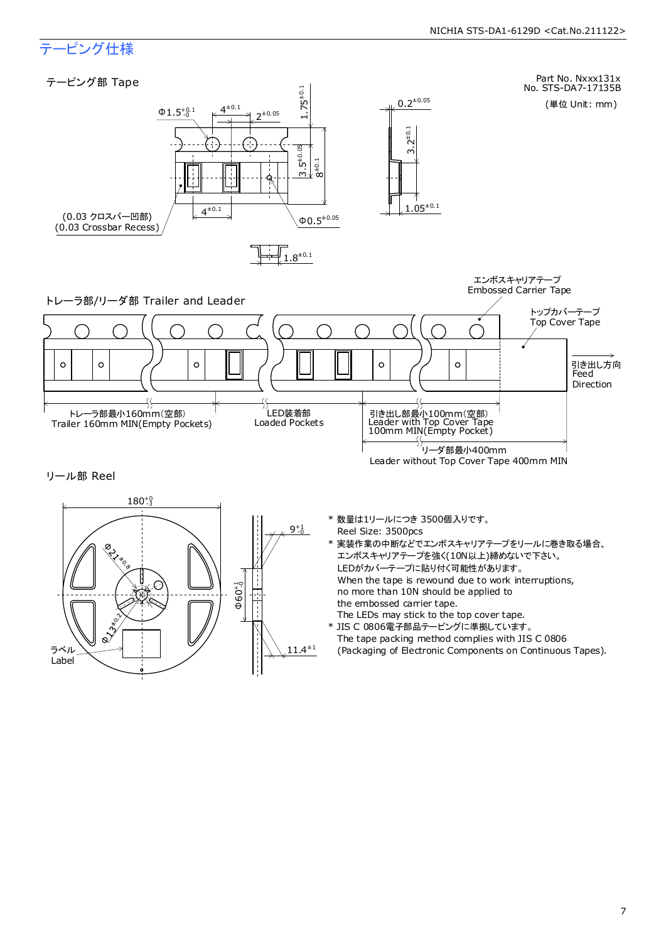

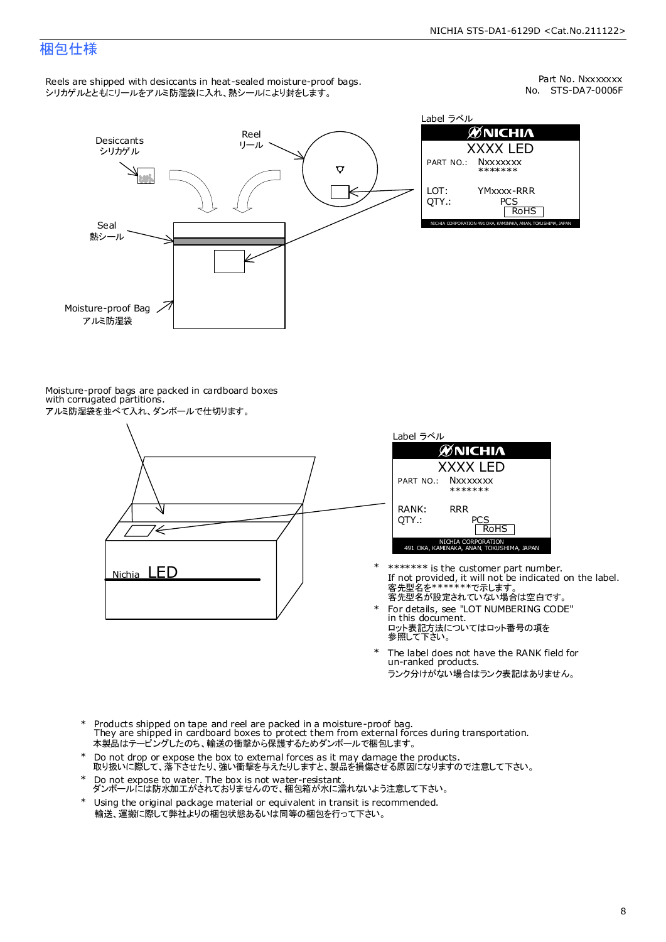### 梱包仕様

Reels are shipped with desiccants in heat-sealed moisture-proof bags. シリカゲルとともにリールをアルミ防湿袋に入れ、熱シールにより封をします。

No. STS-DA7-0006F Part No. Nxxxxxxx



Label ラベル  $\mathscr{D}$ NICHIA XXXX LED PART NO.: **Nxxxxxxx** \*\*\*\*\*\*\* LOT: YMxxxx-RRR QTY.: PCS<br>RoHS INAKA, ANAN, TOKUSHIMA, JA

Moisture-proof bags are packed in cardboard boxes with corrugated partitions. アルミ防湿袋を並べて入れ、ダンボールで仕切ります。





- 客先型名が設定されていない場合は空白です。 客先型名を\*\*\*\*\*\*\*で示します。 If not provided, it will not be indicated on the label. \*\*\*\*\*\*\* is the customer part number.
- For details, see "LOT NUMBERING CODE" in this document. ロット表記方法についてはロット番号の項を<br>参照して下さい。 \*
- The label does not have the RANK field for un-ranked products. ランク分けがない場合はランク表記はありません。 \*
- Products shipped on tape and reel are packed in a moisture-proof bag. They are shipped in cardboard boxes to protect them from external forces during transportation. 本製品はテーピングしたのち、輸送の衝撃から保護するためダンボールで梱包します。 \*
- Do not drop or expose the box to external forces as it may damage the products. 取り扱いに際して、落下させたり、強い衝撃を与えたりしますと、製品を損傷させる原因になりますので注意して下さい。 \*
- Do not expose to water. The box is not water-resistant. ダンボールには防水加工がされておりませんので、梱包箱が水に濡れないよう注意して下さい。 \*
- \* Using the original package material or equivalent in transit is recommended. 輸送、運搬に際して弊社よりの梱包状態あるいは同等の梱包を行って下さい。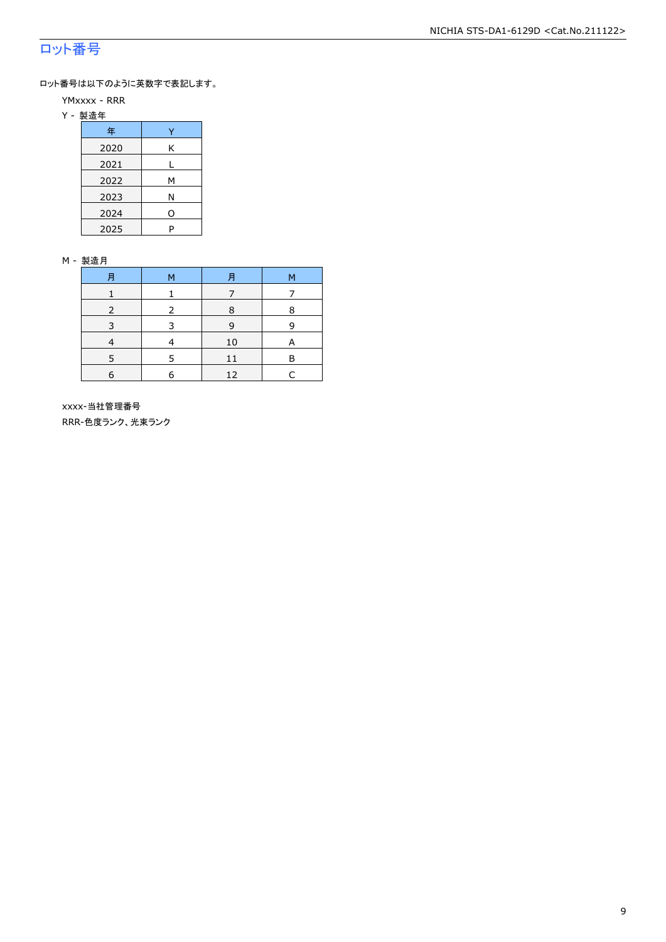### ロット番号

ロット番号は以下のように英数字で表記します。

- YMxxxx RRR
- Y 製造年

| 年    |   |
|------|---|
| 2020 | Κ |
| 2021 |   |
| 2022 | м |
| 2023 | Ν |
| 2024 | 0 |
| 2025 | P |

#### M - 製造月

| 月          | M | Ħ  | M |
|------------|---|----|---|
|            |   |    |   |
|            |   | R  | 8 |
| 3          | З | 9  | q |
|            |   | 10 | А |
|            |   | 11 | R |
| $\epsilon$ | F | 12 |   |

 xxxx-当社管理番号 RRR-色度ランク、光束ランク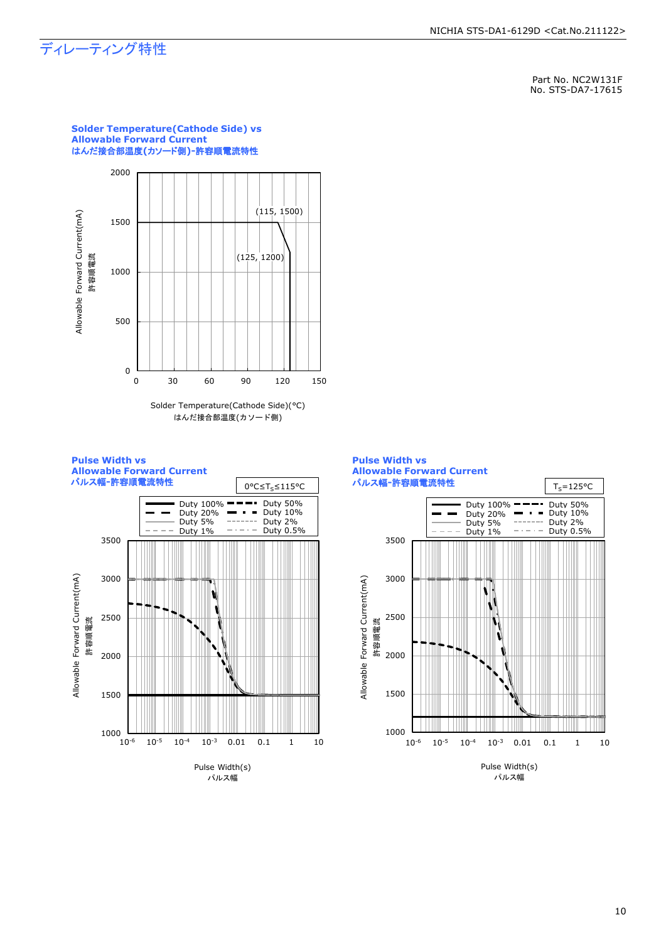### ディレーティング特性

Part No. NC2W131F No. STS-DA7-17615



**Solder Temperature(Cathode Side) vs Allowable Forward Current** はんだ接合部温度**(**カソード側**)-**許容順電流特性

Pulse Width(s) パルス幅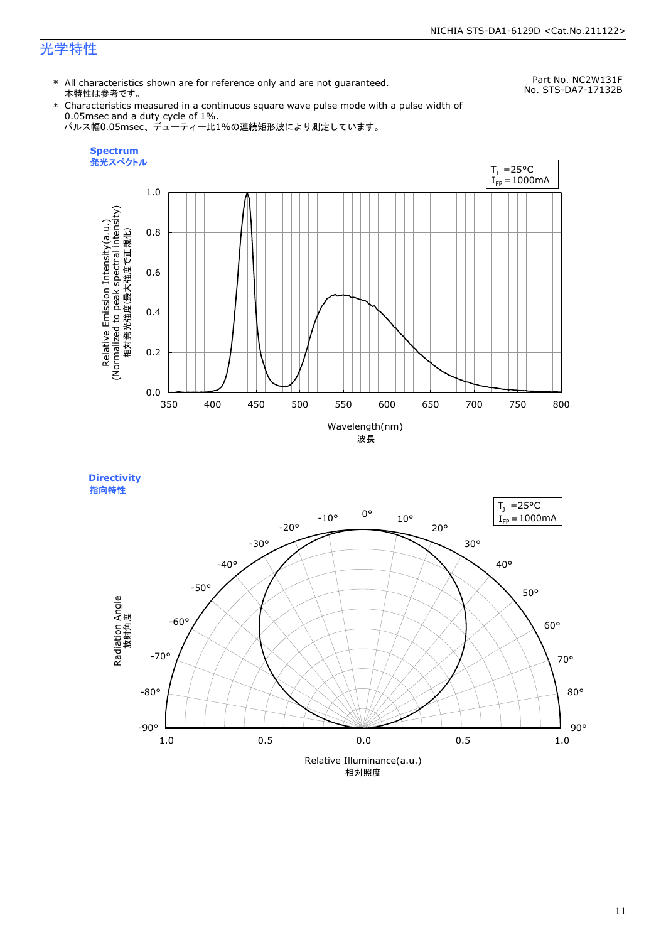### 光学特性

\* All characteristics shown are for reference only and are not guaranteed. 本特性は参考です。

Part No. NC2W131F No. STS-DA7-17132B

\* Characteristics measured in a continuous square wave pulse mode with a pulse width of 0.05msec and a duty cycle of 1%. パルス幅0.05msec、デューティー比1%の連続矩形波により測定しています。





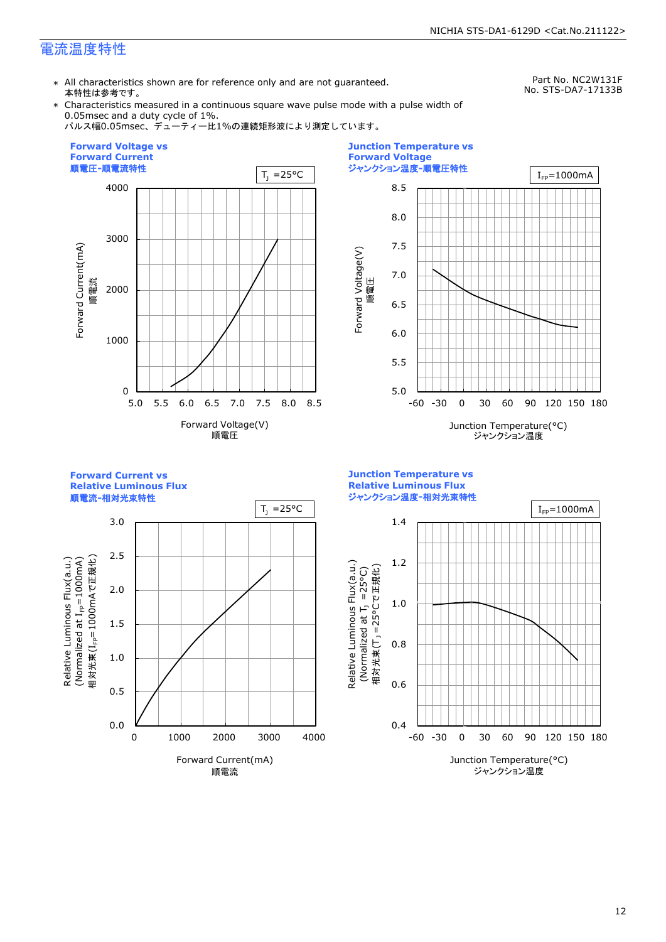### 電流温度特性

\* All characteristics shown are for reference only and are not guaranteed. 本特性は参考です。

Part No. NC2W131F No. STS-DA7-17133B

\* Characteristics measured in a continuous square wave pulse mode with a pulse width of 0.05msec and a duty cycle of 1%.

パルス幅0.05msec、デューティー比1%の連続矩形波により測定しています。





**Forward Current vs** 

**Relative Luminous Flux**





**Junction Temperature vs**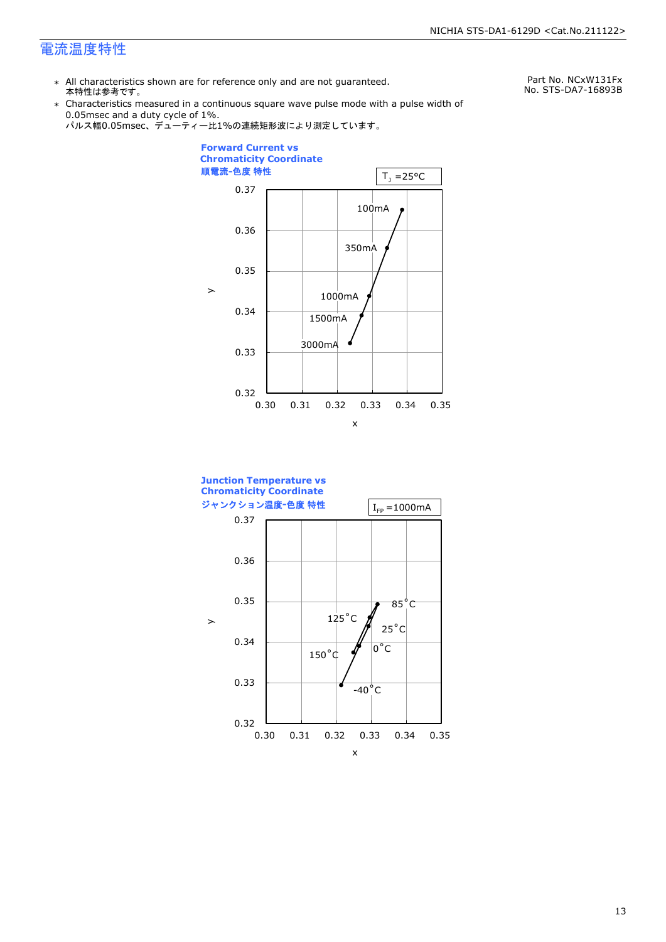### 電流温度特性

\* All characteristics shown are for reference only and are not guaranteed. 本特性は参考です。

Part No. NCxW131Fx No. STS-DA7-16893B

\* Characteristics measured in a continuous square wave pulse mode with a pulse width of 0.05msec and a duty cycle of 1%.





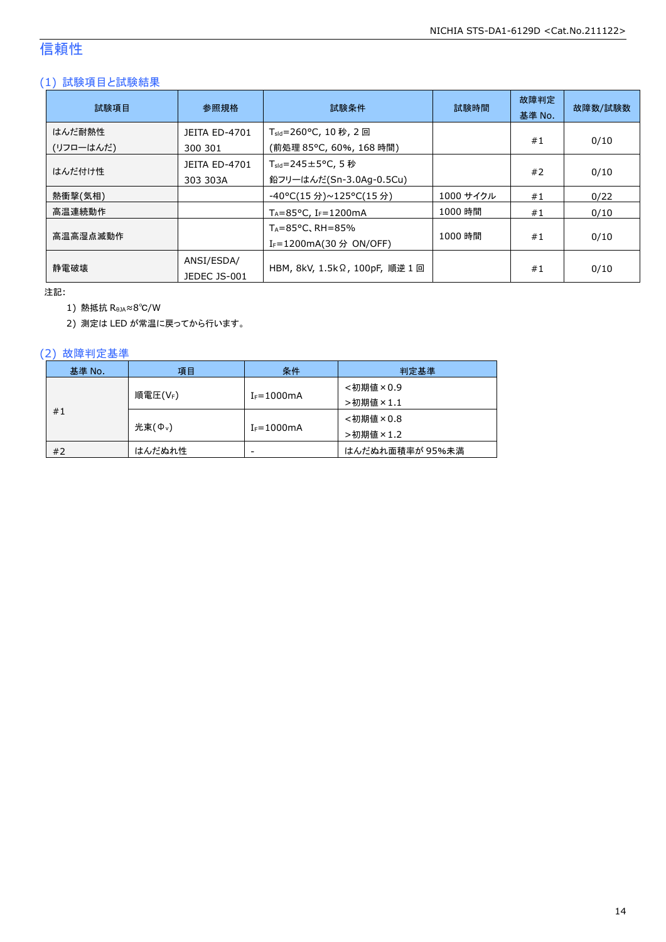### 信頼性

### (1) 試験項目と試験結果

| 試験項目                | 参照規格                             | 試験条件                                                                   | 試験時間      | 故障判定<br>基準 No. | 故障数/試験数 |
|---------------------|----------------------------------|------------------------------------------------------------------------|-----------|----------------|---------|
| はんだ耐熱性<br>(リフローはんだ) | <b>JEITA ED-4701</b><br>300 301  | T <sub>sld</sub> =260°C, 10 秒, 2 回<br>(前処理 85℃, 60%, 168 時間)           |           | #1             | 0/10    |
| はんだ付け性              | <b>JEITA ED-4701</b><br>303 303A | $T_{\text{std}} = 245 \pm 5^{\circ}$ C, 5 秒<br>鉛フリーはんだ(Sn-3.0Ag-0.5Cu) |           | #2             | 0/10    |
| 熱衝撃(気相)             |                                  | -40°C(15 分)~125°C(15 分)                                                | 1000 サイクル | #1             | 0/22    |
| 高温連続動作              |                                  | $T_A = 85^{\circ}$ C, I <sub>F</sub> =1200mA                           | 1000 時間   | #1             | 0/10    |
| 高温高湿点滅動作            |                                  | $T_A = 85^{\circ}$ C, RH = 85%<br>I <sub>F</sub> =1200mA(30 分 ON/OFF)  | 1000 時間   | #1             | 0/10    |
| 静雷破壊                | ANSI/ESDA/<br>JEDEC JS-001       | HBM, 8kV, 1.5kΩ, 100pF, 順逆 1 回                                         |           | #1             | 0/10    |

注記:

1) 熱抵抗 RθJA≈8℃/W

2) 測定は LED が常温に戻ってから行います。

### (2) 故障判定基準

| 基準 No. | 項目                 | 条件                       | 判定基準            |
|--------|--------------------|--------------------------|-----------------|
|        |                    |                          | <初期値×0.9        |
|        | 順電圧(VF)            | $I_F = 1000$ mA          | >初期値×1.1        |
| #1     |                    |                          | <初期値×0.8        |
|        | 光束( $\Phi_{\nu}$ ) | $I_F = 1000$ mA          | >初期値×1.2        |
| #2     | はんだぬれ性             | $\overline{\phantom{a}}$ | はんだぬれ面積率が 95%未満 |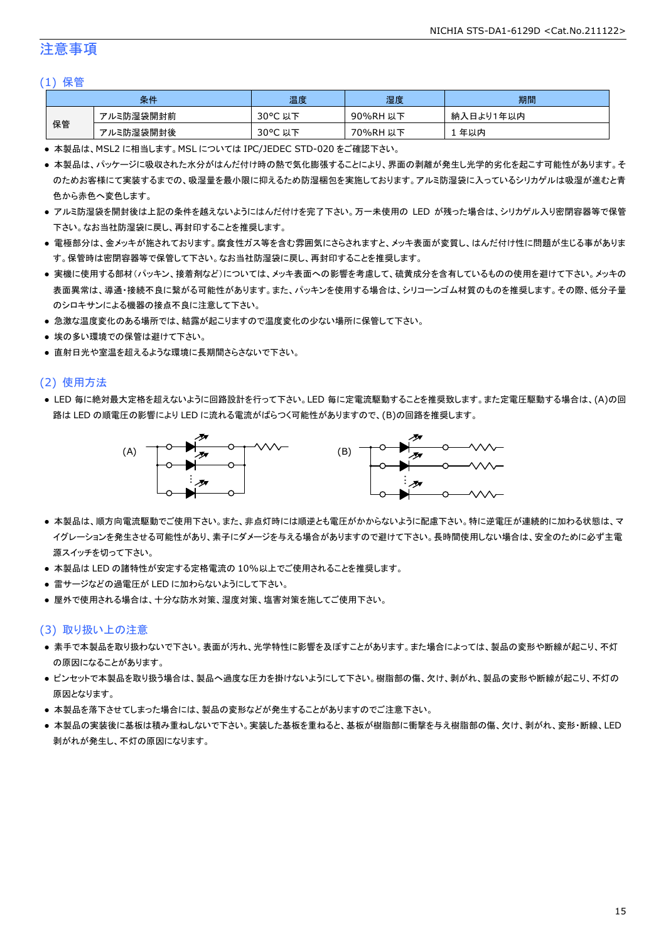### 注意事項

#### (1) 保管

| 条件 |           | 温度                                    | 湿度       | 期間        |
|----|-----------|---------------------------------------|----------|-----------|
|    | アルミ防湿袋開封前 | $30^{\circ}$ C<br><del>ג</del> ו<br>以 | 90%RH 以下 | 納入日より1年以内 |
| 保管 | アルミ防湿袋開封後 | $30^{\circ}$ C<br>以下                  | 70%RH 以下 | 年以内       |

● 本製品は、MSL2 に相当します。MSL については IPC/JEDEC STD-020 をご確認下さい。

- 本製品は、パッケージに吸収された水分がはんだ付け時の熱で気化膨張することにより、界面の剥離が発生し光学的劣化を起こす可能性があります。そ のためお客様にて実装するまでの、吸湿量を最小限に抑えるため防湿梱包を実施しております。アルミ防湿袋に入っているシリカゲルは吸湿が進むと青 色から赤色へ変色します。
- アルミ防湿袋を開封後は上記の条件を越えないようにはんだ付けを完了下さい。万一未使用の LED が残った場合は、シリカゲル入り密閉容器等で保管 下さい。なお当社防湿袋に戻し、再封印することを推奨します。
- 電極部分は、金メッキが施されております。腐食性ガス等を含む雰囲気にさらされますと、メッキ表面が変質し、はんだ付け性に問題が生じる事がありま す。保管時は密閉容器等で保管して下さい。なお当社防湿袋に戻し、再封印することを推奨します。
- 実機に使用する部材(パッキン、接着剤など)については、メッキ表面への影響を考慮して、硫黄成分を含有しているものの使用を避けて下さい。メッキの 表面異常は、導通・接続不良に繋がる可能性があります。また、パッキンを使用する場合は、シリコーンゴム材質のものを推奨します。その際、低分子量 のシロキサンによる機器の接点不良に注意して下さい。
- 急激な温度変化のある場所では、結露が起こりますので温度変化の少ない場所に保管して下さい。
- 埃の多い環境での保管は避けて下さい。
- 直射日光や室温を超えるような環境に長期間さらさないで下さい。

#### (2) 使用方法

● LED 毎に絶対最大定格を超えないように回路設計を行って下さい。LED 毎に定電流駆動することを推奨致します。また定電圧駆動する場合は、(A)の回 路は LED の順電圧の影響により LED に流れる電流がばらつく可能性がありますので、(B)の回路を推奨します。



- 本製品は、順方向電流駆動でご使用下さい。また、非点灯時には順逆とも電圧がかからないように配慮下さい。特に逆電圧が連続的に加わる状態は、マ イグレーションを発生させる可能性があり、素子にダメージを与える場合がありますので避けて下さい。長時間使用しない場合は、安全のために必ず主電 源スイッチを切って下さい。
- 本製品は LED の諸特性が安定する定格電流の 10%以上でご使用されることを推奨します。
- 雷サージなどの過電圧が LED に加わらないようにして下さい。
- 屋外で使用される場合は、十分な防水対策、湿度対策、塩害対策を施してご使用下さい。

#### (3) 取り扱い上の注意

- 素手で本製品を取り扱わないで下さい。表面が汚れ、光学特性に影響を及ぼすことがあります。また場合によっては、製品の変形や断線が起こり、不灯 の原因になることがあります。
- ピンセットで本製品を取り扱う場合は、製品へ過度な圧力を掛けないようにして下さい。樹脂部の傷、欠け、剥がれ、製品の変形や断線が起こり、不灯の 原因となります。
- 本製品を落下させてしまった場合には、製品の変形などが発生することがありますのでご注意下さい。
- 本製品の実装後に基板は積み重ねしないで下さい。実装した基板を重ねると、基板が樹脂部に衝撃を与え樹脂部の傷、欠け、剥がれ、変形・断線、LED 剥がれが発生し、不灯の原因になります。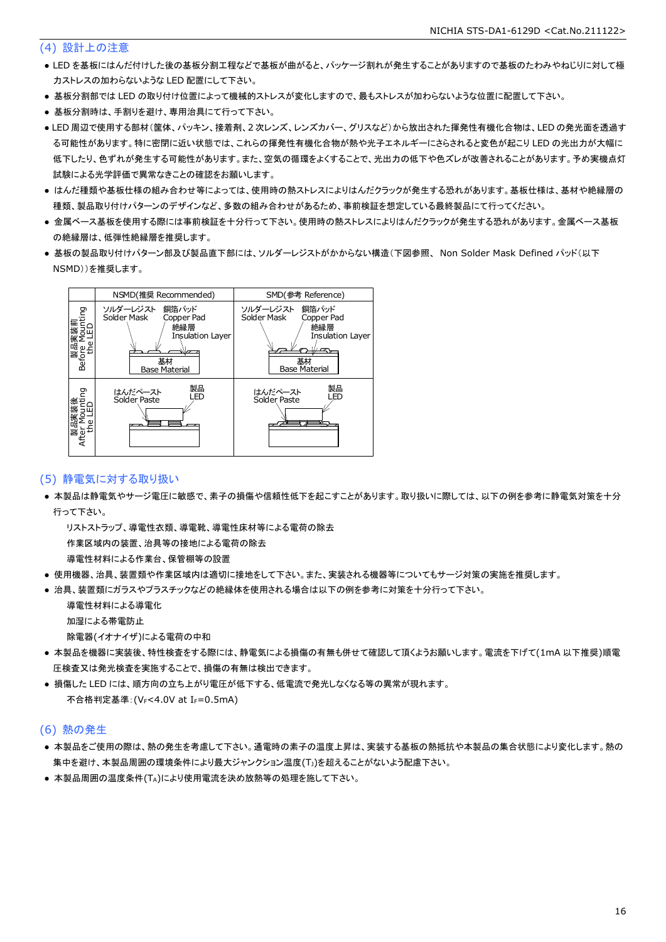### (4) 設計上の注意

- LED を基板にはんだ付けした後の基板分割工程などで基板が曲がると、パッケージ割れが発生することがありますので基板のたわみやねじりに対して極 力ストレスの加わらないような LED 配置にして下さい。
- 基板分割部では LED の取り付け位置によって機械的ストレスが変化しますので、最もストレスが加わらないような位置に配置して下さい。
- 基板分割時は、手割りを避け、専用治具にて行って下さい。
- LED 周辺で使用する部材(筐体、パッキン、接着剤、2 次レンズ、レンズカバー、グリスなど)から放出された揮発性有機化合物は、LED の発光面を透過す る可能性があります。特に密閉に近い状態では、これらの揮発性有機化合物が熱や光子エネルギーにさらされると変色が起こり LED の光出力が大幅に 低下したり、色ずれが発生する可能性があります。また、空気の循環をよくすることで、光出力の低下や色ズレが改善されることがあります。予め実機点灯 試験による光学評価で異常なきことの確認をお願いします。
- はんだ種類や基板仕様の組み合わせ等によっては、使用時の熱ストレスによりはんだクラックが発生する恐れがあります。基板仕様は、基材や絶縁層の 種類、製品取り付けパターンのデザインなど、多数の組み合わせがあるため、事前検証を想定している最終製品にて行ってください。
- 金属ベース基板を使用する際には事前検証を十分行って下さい。使用時の熱ストレスによりはんだクラックが発生する恐れがあります。金属ベース基板 の絶縁層は、低弾性絶縁層を推奨します。
- 基板の製品取り付けパターン部及び製品直下部には、ソルダーレジストがかからない構造(下図参照、 Non Solder Mask Defined パッド(以下 NSMD))を推奨します。



### (5) 静電気に対する取り扱い

● 本製品は静電気やサージ電圧に敏感で、素子の損傷や信頼性低下を起こすことがあります。取り扱いに際しては、以下の例を参考に静電気対策を十分 行って下さい。

 リストストラップ、導電性衣類、導電靴、導電性床材等による電荷の除去 作業区域内の装置、治具等の接地による電荷の除去

導電性材料による作業台、保管棚等の設置

- 使用機器、治具、装置類や作業区域内は適切に接地をして下さい。また、実装される機器等についてもサージ対策の実施を推奨します。
- 治具、装置類にガラスやプラスチックなどの絶縁体を使用される場合は以下の例を参考に対策を十分行って下さい。

 導電性材料による導電化 加湿による帯電防止

除電器(イオナイザ)による電荷の中和

- 本製品を機器に実装後、特性検査をする際には、静電気による損傷の有無も併せて確認して頂くようお願いします。電流を下げて(1mA 以下推奨)順電 圧検査又は発光検査を実施することで、損傷の有無は検出できます。
- 損傷した LED には、順方向の立ち上がり電圧が低下する、低電流で発光しなくなる等の異常が現れます。 不合格判定基準: (VF<4.0V at IF=0.5mA)

#### (6) 熱の発生

- 本製品をご使用の際は、熱の発生を考慮して下さい。通電時の素子の温度上昇は、実装する基板の熱抵抗や本製品の集合状態により変化します。熱の 集中を避け、本製品周囲の環境条件により最大ジャンクション温度(TJ)を超えることがないよう配慮下さい。
- 本製品周囲の温度条件(TA)により使用電流を決め放熱等の処理を施して下さい。